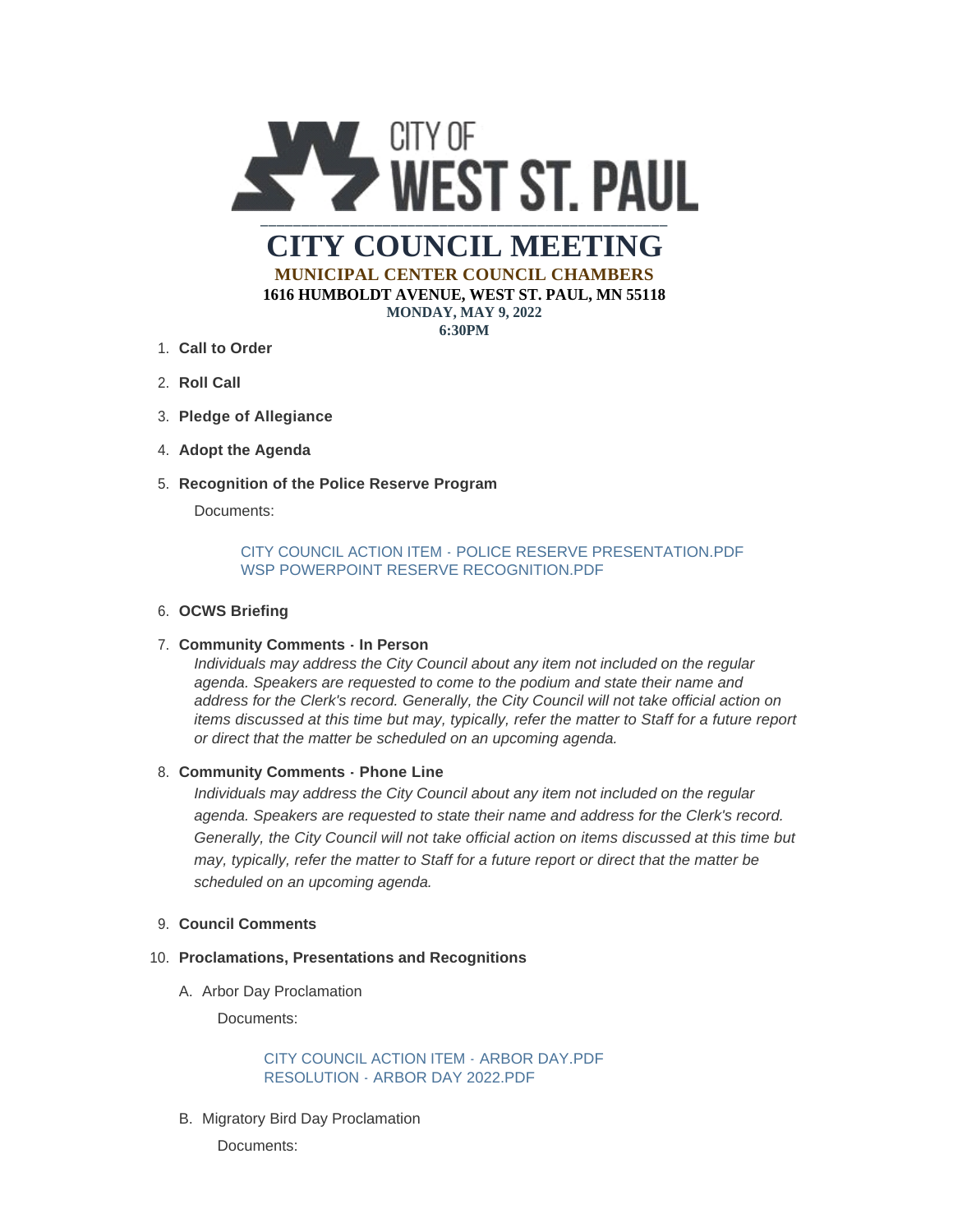

**6:30PM**

- **Call to Order** 1.
- 2. **Roll Call**
- **Pledge of Allegiance** 3.
- 4. Adopt the Agenda
- **Recognition of the Police Reserve Program** 5.

Documents:

# [CITY COUNCIL ACTION ITEM - POLICE RESERVE PRESENTATION.PDF](https://www.wspmn.gov/AgendaCenter/ViewFile/Item/12847?fileID=19887) [WSP POWERPOINT RESERVE RECOGNITION.PDF](https://www.wspmn.gov/AgendaCenter/ViewFile/Item/12847?fileID=19905)

# **OCWS Briefing** 6.

# **Community Comments - In Person** 7.

*Individuals may address the City Council about any item not included on the regular agenda. Speakers are requested to come to the podium and state their name and address for the Clerk's record. Generally, the City Council will not take official action on items discussed at this time but may, typically, refer the matter to Staff for a future report or direct that the matter be scheduled on an upcoming agenda.*

## **Community Comments - Phone Line** 8.

*Individuals may address the City Council about any item not included on the regular agenda. Speakers are requested to state their name and address for the Clerk's record. Generally, the City Council will not take official action on items discussed at this time but may, typically, refer the matter to Staff for a future report or direct that the matter be scheduled on an upcoming agenda.*

## **Council Comments** 9.

## **Proclamations, Presentations and Recognitions** 10.

A. Arbor Day Proclamation

Documents:

# [CITY COUNCIL ACTION ITEM - ARBOR DAY.PDF](https://www.wspmn.gov/AgendaCenter/ViewFile/Item/12952?fileID=19892) [RESOLUTION - ARBOR DAY 2022.PDF](https://www.wspmn.gov/AgendaCenter/ViewFile/Item/12952?fileID=19893)

B. Migratory Bird Day Proclamation

Documents: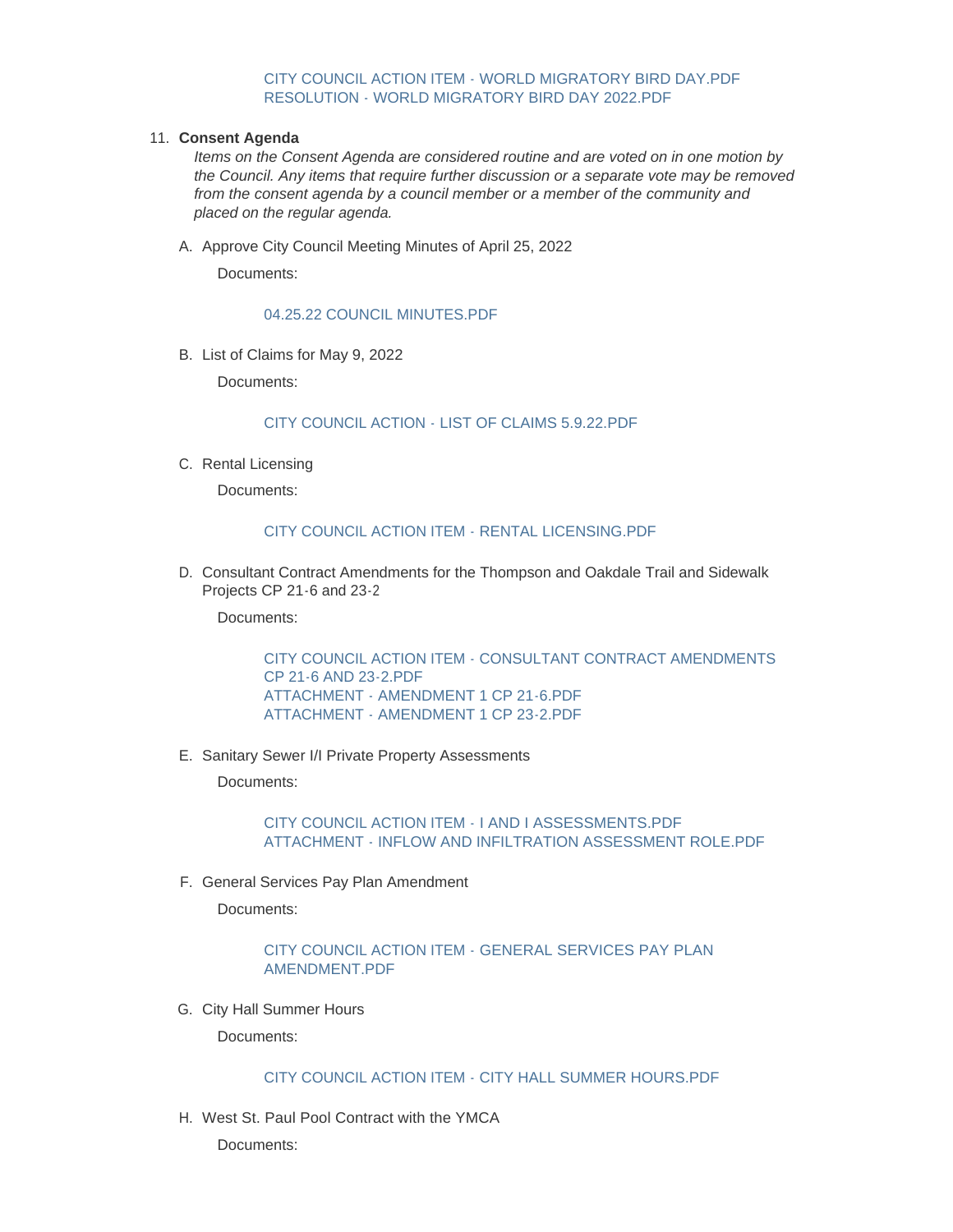#### [CITY COUNCIL ACTION ITEM - WORLD MIGRATORY BIRD DAY.PDF](https://www.wspmn.gov/AgendaCenter/ViewFile/Item/12953?fileID=19894) [RESOLUTION - WORLD MIGRATORY BIRD DAY 2022.PDF](https://www.wspmn.gov/AgendaCenter/ViewFile/Item/12953?fileID=19895)

#### **Consent Agenda** 11.

*Items on the Consent Agenda are considered routine and are voted on in one motion by the Council. Any items that require further discussion or a separate vote may be removed from the consent agenda by a council member or a member of the community and placed on the regular agenda.*

A. Approve City Council Meeting Minutes of April 25, 2022

Documents:

#### [04.25.22 COUNCIL MINUTES.PDF](https://www.wspmn.gov/AgendaCenter/ViewFile/Item/12955?fileID=19889)

B. List of Claims for May 9, 2022

Documents:

#### [CITY COUNCIL ACTION - LIST OF CLAIMS 5.9.22.PDF](https://www.wspmn.gov/AgendaCenter/ViewFile/Item/12956?fileID=19896)

C. Rental Licensing

Documents:

## [CITY COUNCIL ACTION ITEM - RENTAL LICENSING.PDF](https://www.wspmn.gov/AgendaCenter/ViewFile/Item/12950?fileID=19888)

D. Consultant Contract Amendments for the Thompson and Oakdale Trail and Sidewalk Projects CP 21-6 and 23-2

Documents:

[CITY COUNCIL ACTION ITEM - CONSULTANT CONTRACT AMENDMENTS](https://www.wspmn.gov/AgendaCenter/ViewFile/Item/12906?fileID=19881)  CP 21-6 AND 23-2.PDF [ATTACHMENT - AMENDMENT 1 CP 21-6.PDF](https://www.wspmn.gov/AgendaCenter/ViewFile/Item/12906?fileID=19880) [ATTACHMENT - AMENDMENT 1 CP 23-2.PDF](https://www.wspmn.gov/AgendaCenter/ViewFile/Item/12906?fileID=19879)

E. Sanitary Sewer I/I Private Property Assessments

Documents:

[CITY COUNCIL ACTION ITEM - I AND I ASSESSMENTS.PDF](https://www.wspmn.gov/AgendaCenter/ViewFile/Item/12925?fileID=19875) [ATTACHMENT - INFLOW AND INFILTRATION ASSESSMENT ROLE.PDF](https://www.wspmn.gov/AgendaCenter/ViewFile/Item/12925?fileID=19876)

F. General Services Pay Plan Amendment

Documents:

# [CITY COUNCIL ACTION ITEM - GENERAL SERVICES PAY PLAN](https://www.wspmn.gov/AgendaCenter/ViewFile/Item/12947?fileID=19886)  AMENDMENT.PDF

G. City Hall Summer Hours

Documents:

# [CITY COUNCIL ACTION ITEM - CITY HALL SUMMER HOURS.PDF](https://www.wspmn.gov/AgendaCenter/ViewFile/Item/12948?fileID=19884)

H. West St. Paul Pool Contract with the YMCA

Documents: